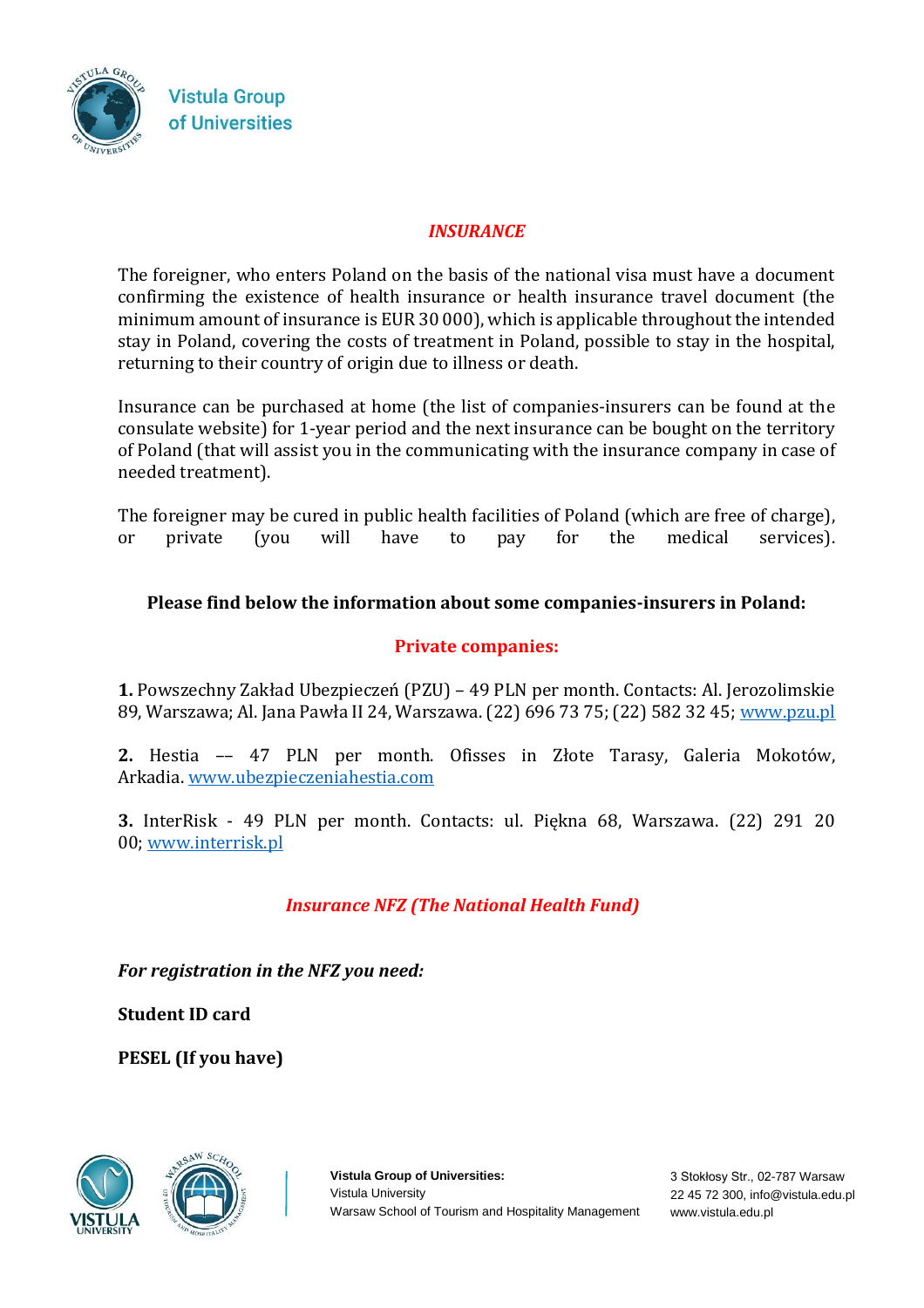

## *INSURANCE*

The foreigner, who enters Poland on the basis of the national visa must have a document confirming the existence of health insurance or health insurance travel document (the minimum amount of insurance is EUR 30 000), which is applicable throughout the intended stay in Poland, covering the costs of treatment in Poland, possible to stay in the hospital, returning to their country of origin due to illness or death.

Insurance can be purchased at home (the list of companies-insurers can be found at the consulate website) for 1-year period and the next insurance can be bought on the territory of Poland (that will assist you in the communicating with the insurance company in case of needed treatment).

The foreigner may be cured in public health facilities of Poland (which are free of charge), or private (you will have to pay for the medical services).

## **Please find below the information about some companies-insurers in Poland:**

## **Private companies:**

**1.** Powszechny Zakład Ubezpieczeń (PZU) – 49 PLN per month. Contacts: Al. Jerozolimskie 89, Warszawa; Al. Jana Pawła II 24, Warszawa. (22) 696 73 75; (22) 582 32 45; [www.pzu.pl](http://www.pzu.pl/)

**2.** Hestia –– 47 PLN per month. Ofisses in Złote Tarasy, Galeria Mokotów, Arkadia. [www.ubezpieczeniahestia.com](http://www.ubezpieczeniahestia.com/)

**3.** InterRisk - 49 PLN per month. Contacts: ul. Piękna 68, Warszawa. (22) 291 20 00; [www.interrisk.pl](http://www.interrisk.pl/)

## *Insurance NFZ (The National Health Fund)*

*For registration in the NFZ you need:*

**Student ID card**

**PESEL (If you have)**





**Vistula Group of Universities:**  Vistula University Warsaw School of Tourism and Hospitality Management

3 Stokłosy Str., 02-787 Warsaw 22 45 72 300, info@vistula.edu.pl www.vistula.edu.pl